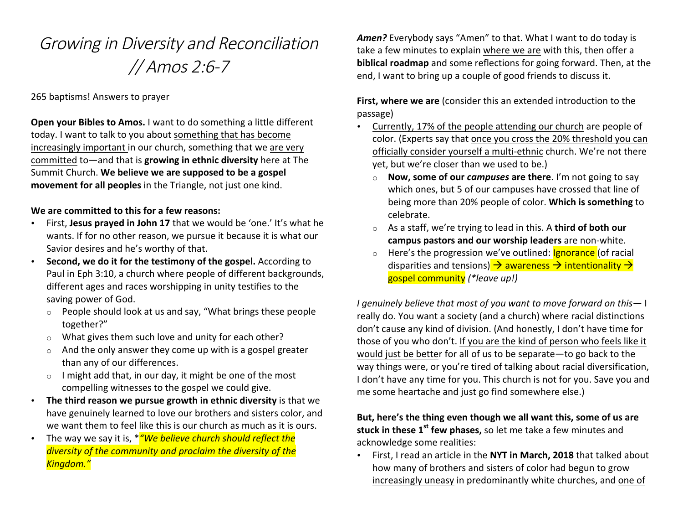# Growing in Diversity and Reconciliation // Amos 2:6-7

### 265 baptisms! Answers to prayer

**Open your Bibles to Amos.** I want to do something a little different today. I want to talk to you about something that has become increasingly important in our church, something that we are very committed to—and that is **growing in ethnic diversity** here at The Summit Church. We believe we are supposed to be a gospel movement for all peoples in the Triangle, not just one kind.

#### **We are committed to this for a few reasons:**

- First, Jesus prayed in John 17 that we would be 'one.' It's what he wants. If for no other reason, we pursue it because it is what our Savior desires and he's worthy of that.
- **Second, we do it for the testimony of the gospel.** According to Paul in Eph 3:10, a church where people of different backgrounds, different ages and races worshipping in unity testifies to the saving power of God.
	- $\circ$  People should look at us and say, "What brings these people together?"
	- $\circ$  What gives them such love and unity for each other?
	- $\circ$  And the only answer they come up with is a gospel greater than any of our differences.
	- $\circ$  I might add that, in our day, it might be one of the most compelling witnesses to the gospel we could give.
- The third reason we pursue growth in ethnic diversity is that we have genuinely learned to love our brothers and sisters color, and we want them to feel like this is our church as much as it is ours.
- The way we say it is,  $*$ <sup>"</sup>We believe church should reflect the *diversity of the community and proclaim the diversity of the Kingdom."*

Amen? Everybody says "Amen" to that. What I want to do today is take a few minutes to explain where we are with this, then offer a **biblical roadmap** and some reflections for going forward. Then, at the end, I want to bring up a couple of good friends to discuss it.

**First, where we are** (consider this an extended introduction to the passage)

- Currently, 17% of the people attending our church are people of color. (Experts say that once you cross the 20% threshold you can officially consider yourself a multi-ethnic church. We're not there yet, but we're closer than we used to be.)
	- o **Now, some of our** *campuses* are there. I'm not going to say which ones, but 5 of our campuses have crossed that line of being more than 20% people of color. Which is something to celebrate.
	- o As a staff, we're trying to lead in this. A **third of both our campus pastors and our worship leaders** are non-white.
	- o Here's the progression we've outlined: **Ignorance** (of racial disparities and tensions)  $\rightarrow$  awareness  $\rightarrow$  intentionality  $\rightarrow$ gospel community *(\*leave up!)*

*I* genuinely believe that most of you want to move forward on this- I really do. You want a society (and a church) where racial distinctions don't cause any kind of division. (And honestly, I don't have time for those of you who don't. If you are the kind of person who feels like it would just be better for all of us to be separate—to go back to the way things were, or you're tired of talking about racial diversification, I don't have any time for you. This church is not for you. Save you and me some heartache and just go find somewhere else.)

## But, here's the thing even though we all want this, some of us are **stuck in these 1<sup>st</sup> few phases,** so let me take a few minutes and acknowledge some realities:

• First, I read an article in the NYT in March, 2018 that talked about how many of brothers and sisters of color had begun to grow increasingly uneasy in predominantly white churches, and one of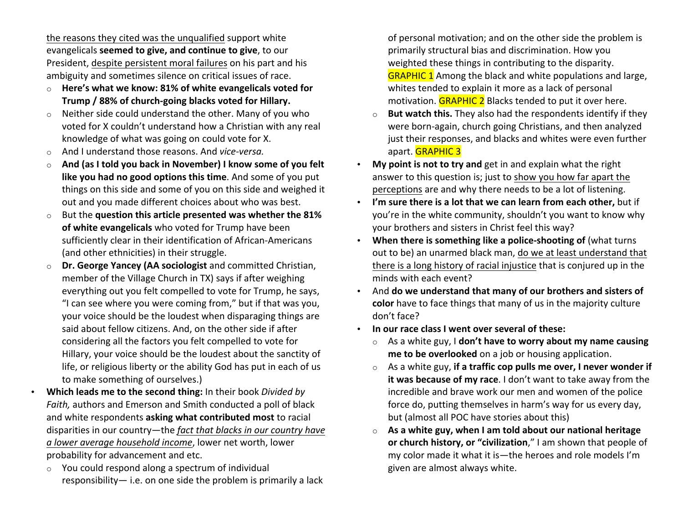the reasons they cited was the unqualified support white evangelicals **seemed to give, and continue to give**, to our President, despite persistent moral failures on his part and his ambiguity and sometimes silence on critical issues of race.

- o **Here's what we know: 81% of white evangelicals voted for Trump / 88% of church-going blacks voted for Hillary.**
- $\circ$  Neither side could understand the other. Many of you who voted for X couldn't understand how a Christian with any real knowledge of what was going on could vote for X.
- o And I understand those reasons. And *vice-versa.*
- $\circ$  **And (as I told you back in November) I know some of you felt like you had no good options this time**. And some of you put things on this side and some of you on this side and weighed it out and you made different choices about who was best.
- o But the question this article presented was whether the 81% of white evangelicals who voted for Trump have been sufficiently clear in their identification of African-Americans (and other ethnicities) in their struggle.
- o **Dr. George Yancey (AA sociologist** and committed Christian, member of the Village Church in TX) says if after weighing everything out you felt compelled to vote for Trump, he says, "I can see where you were coming from," but if that was you, your voice should be the loudest when disparaging things are said about fellow citizens. And, on the other side if after considering all the factors you felt compelled to vote for Hillary, your voice should be the loudest about the sanctity of life, or religious liberty or the ability God has put in each of us to make something of ourselves.)
- Which leads me to the second thing: In their book *Divided by Faith*, authors and Emerson and Smith conducted a poll of black and white respondents **asking what contributed most** to racial disparities in our country—the *fact that blacks in our country have a lower average household income*, lower net worth, lower probability for advancement and etc.
	- $\circ$  You could respond along a spectrum of individual responsibility— i.e. on one side the problem is primarily a lack

of personal motivation; and on the other side the problem is primarily structural bias and discrimination. How you weighted these things in contributing to the disparity. **GRAPHIC 1** Among the black and white populations and large, whites tended to explain it more as a lack of personal motivation.  $GRAPHIC$  2 Blacks tended to put it over here.

- o **But watch this.** They also had the respondents identify if they were born-again, church going Christians, and then analyzed just their responses, and blacks and whites were even further apart. **GRAPHIC 3**
- My point is not to try and get in and explain what the right answer to this question is; just to show you how far apart the perceptions are and why there needs to be a lot of listening.
- I'm sure there is a lot that we can learn from each other, but if you're in the white community, shouldn't you want to know why your brothers and sisters in Christ feel this way?
- When there is something like a police-shooting of (what turns out to be) an unarmed black man, do we at least understand that there is a long history of racial injustice that is conjured up in the minds with each event?
- And **do** we understand that many of our brothers and sisters of **color** have to face things that many of us in the majority culture don't face?
- In our race class I went over several of these:
	- o As a white guy, I **don't have to worry about my name causing me to be overlooked** on a job or housing application.
	- o As a white guy, if a traffic cop pulls me over, I never wonder if **it was because of my race**. I don't want to take away from the incredible and brave work our men and women of the police force do, putting themselves in harm's way for us every day, but (almost all POC have stories about this)
	- $\circ$  **As a white guy, when I am told about our national heritage or church history, or "civilization**," I am shown that people of my color made it what it is—the heroes and role models I'm given are almost always white.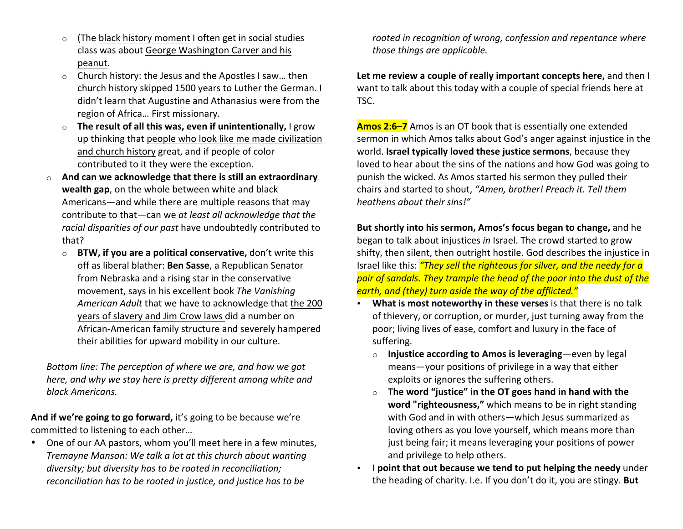- $\circ$  (The black history moment I often get in social studies class was about George Washington Carver and his peanut.
- $\circ$  Church history: the Jesus and the Apostles I saw... then church history skipped 1500 years to Luther the German. I didn't learn that Augustine and Athanasius were from the region of Africa... First missionary.
- o **The result of all this was, even if unintentionally,** I grow up thinking that people who look like me made civilization and church history great, and if people of color contributed to it they were the exception.
- o **And can we acknowledge that there is still an extraordinary wealth gap**, on the whole between white and black Americans—and while there are multiple reasons that may contribute to that—can we at least all acknowledge that the racial disparities of our past have undoubtedly contributed to that?
	- o **BTW, if you are a political conservative,** don't write this off as liberal blather: **Ben Sasse**, a Republican Senator from Nebraska and a rising star in the conservative movement, says in his excellent book *The Vanishing* American Adult that we have to acknowledge that the 200 years of slavery and Jim Crow laws did a number on African-American family structure and severely hampered their abilities for upward mobility in our culture.

*Bottom line: The perception of where we are, and how we got here, and why we stay here is pretty different among white and black Americans.*

And if we're going to go forward, it's going to be because we're committed to listening to each other...

• One of our AA pastors, whom you'll meet here in a few minutes, *Tremayne Manson:* We talk a lot at this church about wanting diversity; but diversity has to be rooted in reconciliation; *reconciliation has to be rooted in justice, and justice has to be* 

rooted in recognition of wrong, confession and repentance where *those things are applicable.* 

Let me review a couple of really important concepts here, and then I want to talk about this today with a couple of special friends here at TSC. 

**Amos 2:6–7** Amos is an OT book that is essentially one extended sermon in which Amos talks about God's anger against injustice in the world. **Israel typically loved these justice sermons**, because they loved to hear about the sins of the nations and how God was going to punish the wicked. As Amos started his sermon they pulled their chairs and started to shout, "Amen, brother! Preach it. Tell them *heathens about their sins!"* 

**But shortly into his sermon, Amos's focus began to change, and he** began to talk about injustices *in* Israel. The crowd started to grow shifty, then silent, then outright hostile. God describes the injustice in Israel like this: *"They sell the righteous for silver, and the needy for a* pair of sandals. They trample the head of the poor into the dust of the *earth, and (they) turn aside the way of the afflicted."* 

- **What is most noteworthy in these verses** is that there is no talk of thievery, or corruption, or murder, just turning away from the poor; living lives of ease, comfort and luxury in the face of suffering.
	- o **Injustice according to Amos is leveraging**—even by legal means—your positions of privilege in a way that either exploits or ignores the suffering others.
	- $\circ$  **The word "justice" in the OT goes hand in hand with the word "righteousness,"** which means to be in right standing with God and in with others—which Jesus summarized as loving others as you love yourself, which means more than just being fair; it means leveraging your positions of power and privilege to help others.
- I **point that out because we tend to put helping the needy** under the heading of charity. I.e. If you don't do it, you are stingy. But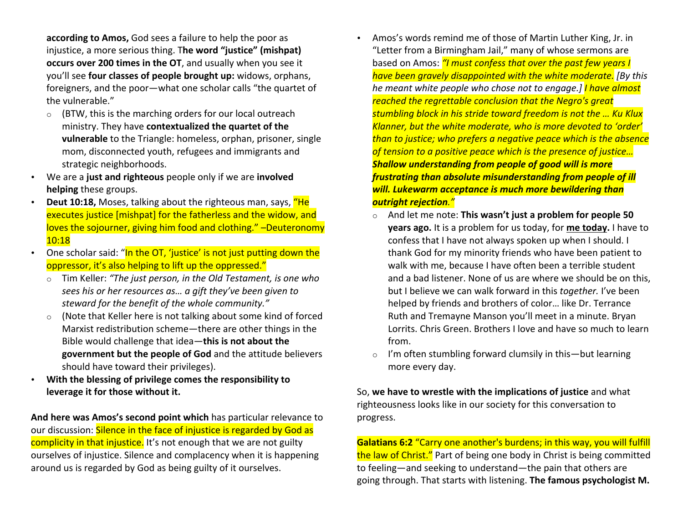**according to Amos,** God sees a failure to help the poor as injustice, a more serious thing. The word "justice" (mishpat) **occurs over 200 times in the OT**, and usually when you see it you'll see **four classes of people brought up:** widows, orphans, foreigners, and the poor—what one scholar calls "the quartet of the vulnerable."

- $\circ$  (BTW, this is the marching orders for our local outreach ministry. They have **contextualized the quartet of the vulnerable** to the Triangle: homeless, orphan, prisoner, single mom, disconnected youth, refugees and immigrants and strategic neighborhoods.
- We are a just and righteous people only if we are involved **helping** these groups.
- **Deut 10:18,** Moses, talking about the righteous man, says, "He executes justice [mishpat] for the fatherless and the widow, and loves the sojourner, giving him food and clothing." -Deuteronomy 10:18
- One scholar said: "In the OT, 'justice' is not just putting down the oppressor, it's also helping to lift up the oppressed."
	- o Tim Keller: "The just person, in the Old Testament, is one who sees his or her resources as... a gift they've been given to steward for the benefit of the whole community."
	- $\circ$  (Note that Keller here is not talking about some kind of forced Marxist redistribution scheme—there are other things in the Bible would challenge that idea-this is not about the **government but the people of God** and the attitude believers should have toward their privileges).
- With the blessing of privilege comes the responsibility to **leverage it for those without it.**

And here was Amos's second point which has particular relevance to our discussion: Silence in the face of injustice is regarded by God as complicity in that injustice. It's not enough that we are not guilty ourselves of injustice. Silence and complacency when it is happening around us is regarded by God as being guilty of it ourselves.

- Amos's words remind me of those of Martin Luther King, Jr. in "Letter from a Birmingham Jail," many of whose sermons are based on Amos: "I must confess that over the past few years I *have been gravely disappointed with the white moderate. [By this he meant white people who chose not to engage.] I have almost* reached the regrettable conclusion that the Negro's great stumbling block in his stride toward freedom is not the ... Ku Klux **Klanner, but the white moderate, who is more devoted to 'order'** *than to justice;* who prefers a negative peace which is the absence of tension to a positive peace which is the presence of justice... **Shallow understanding from people of good will is more** *frustrating than absolute misunderstanding from people of ill* **will. Lukewarm acceptance is much more bewildering than** *outright rejection."*
	- o And let me note: This wasn't just a problem for people 50 **years ago.** It is a problem for us today, for me today. I have to confess that I have not always spoken up when I should. I thank God for my minority friends who have been patient to walk with me, because I have often been a terrible student and a bad listener. None of us are where we should be on this, but I believe we can walk forward in this *together*. I've been helped by friends and brothers of color... like Dr. Terrance Ruth and Tremayne Manson you'll meet in a minute. Bryan Lorrits. Chris Green. Brothers I love and have so much to learn from.
	- $\circ$  I'm often stumbling forward clumsily in this—but learning more every day.

So, we have to wrestle with the implications of justice and what righteousness looks like in our society for this conversation to progress. 

**Galatians 6:2** "Carry one another's burdens; in this way, you will fulfill the law of Christ." Part of being one body in Christ is being committed to feeling—and seeking to understand—the pain that others are going through. That starts with listening. The famous psychologist M.